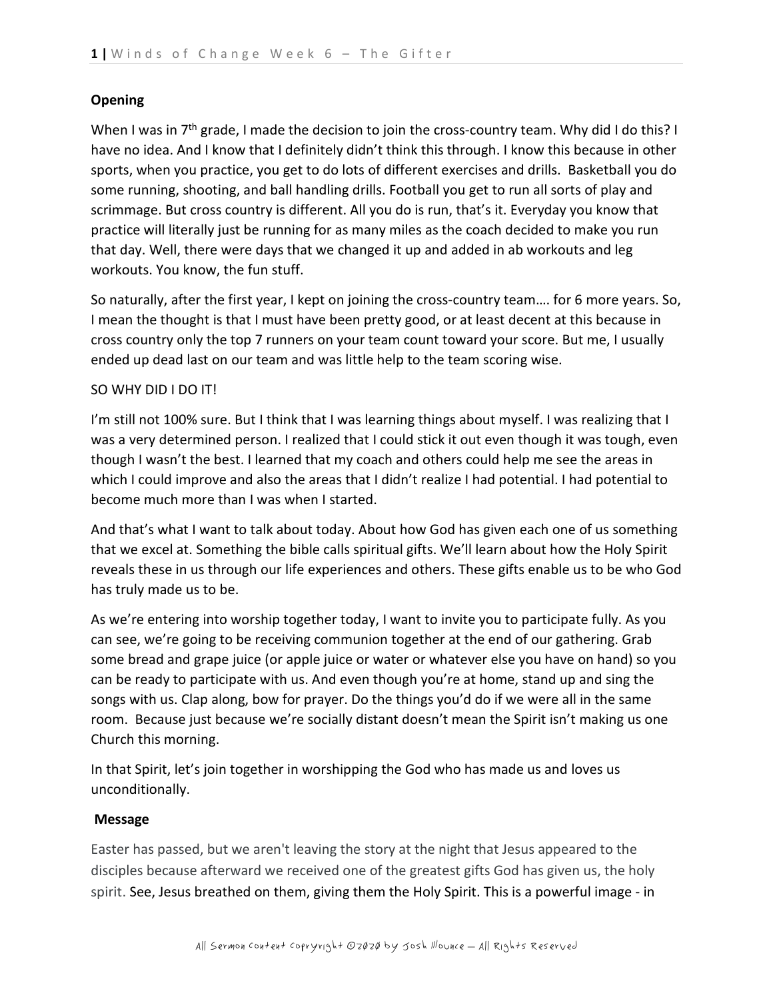## **Opening**

When I was in  $7<sup>th</sup>$  grade, I made the decision to join the cross-country team. Why did I do this? I have no idea. And I know that I definitely didn't think this through. I know this because in other sports, when you practice, you get to do lots of different exercises and drills. Basketball you do some running, shooting, and ball handling drills. Football you get to run all sorts of play and scrimmage. But cross country is different. All you do is run, that's it. Everyday you know that practice will literally just be running for as many miles as the coach decided to make you run that day. Well, there were days that we changed it up and added in ab workouts and leg workouts. You know, the fun stuff.

So naturally, after the first year, I kept on joining the cross-country team…. for 6 more years. So, I mean the thought is that I must have been pretty good, or at least decent at this because in cross country only the top 7 runners on your team count toward your score. But me, I usually ended up dead last on our team and was little help to the team scoring wise.

## SO WHY DID I DO IT!

I'm still not 100% sure. But I think that I was learning things about myself. I was realizing that I was a very determined person. I realized that I could stick it out even though it was tough, even though I wasn't the best. I learned that my coach and others could help me see the areas in which I could improve and also the areas that I didn't realize I had potential. I had potential to become much more than I was when I started.

And that's what I want to talk about today. About how God has given each one of us something that we excel at. Something the bible calls spiritual gifts. We'll learn about how the Holy Spirit reveals these in us through our life experiences and others. These gifts enable us to be who God has truly made us to be.

As we're entering into worship together today, I want to invite you to participate fully. As you can see, we're going to be receiving communion together at the end of our gathering. Grab some bread and grape juice (or apple juice or water or whatever else you have on hand) so you can be ready to participate with us. And even though you're at home, stand up and sing the songs with us. Clap along, bow for prayer. Do the things you'd do if we were all in the same room. Because just because we're socially distant doesn't mean the Spirit isn't making us one Church this morning.

In that Spirit, let's join together in worshipping the God who has made us and loves us unconditionally.

## **Message**

Easter has passed, but we aren't leaving the story at the night that Jesus appeared to the disciples because afterward we received one of the greatest gifts God has given us, the holy spirit. See, Jesus breathed on them, giving them the Holy Spirit. This is a powerful image - in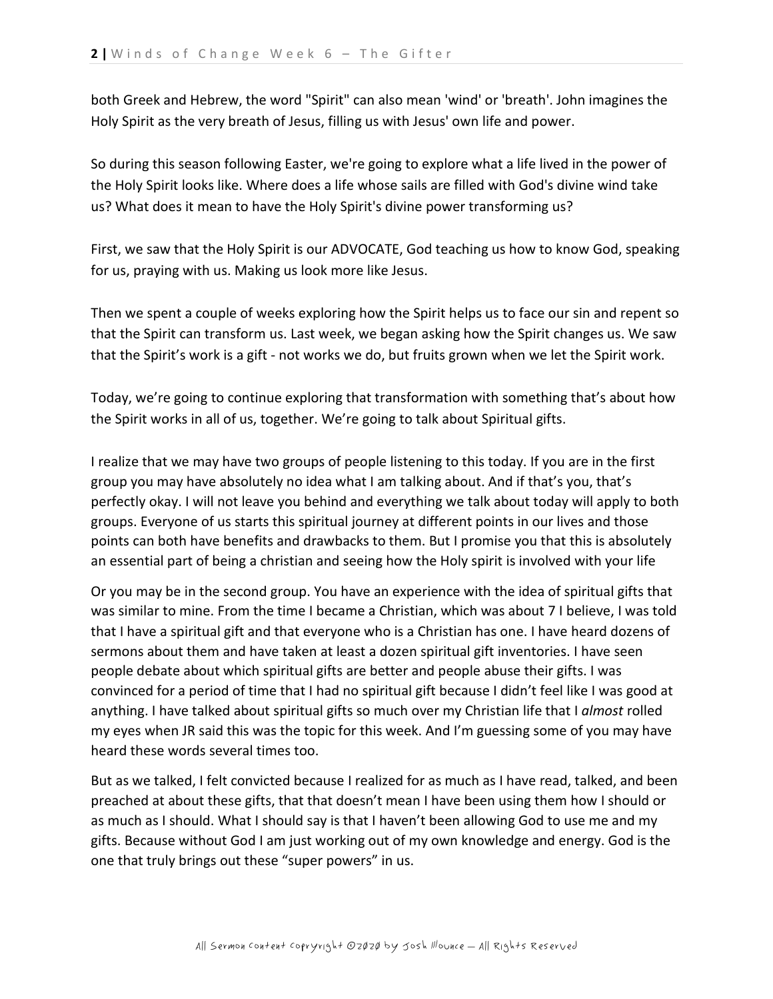both Greek and Hebrew, the word "Spirit" can also mean 'wind' or 'breath'. John imagines the Holy Spirit as the very breath of Jesus, filling us with Jesus' own life and power.

So during this season following Easter, we're going to explore what a life lived in the power of the Holy Spirit looks like. Where does a life whose sails are filled with God's divine wind take us? What does it mean to have the Holy Spirit's divine power transforming us?

First, we saw that the Holy Spirit is our ADVOCATE, God teaching us how to know God, speaking for us, praying with us. Making us look more like Jesus.

Then we spent a couple of weeks exploring how the Spirit helps us to face our sin and repent so that the Spirit can transform us. Last week, we began asking how the Spirit changes us. We saw that the Spirit's work is a gift - not works we do, but fruits grown when we let the Spirit work.

Today, we're going to continue exploring that transformation with something that's about how the Spirit works in all of us, together. We're going to talk about Spiritual gifts.

I realize that we may have two groups of people listening to this today. If you are in the first group you may have absolutely no idea what I am talking about. And if that's you, that's perfectly okay. I will not leave you behind and everything we talk about today will apply to both groups. Everyone of us starts this spiritual journey at different points in our lives and those points can both have benefits and drawbacks to them. But I promise you that this is absolutely an essential part of being a christian and seeing how the Holy spirit is involved with your life

Or you may be in the second group. You have an experience with the idea of spiritual gifts that was similar to mine. From the time I became a Christian, which was about 7 I believe, I was told that I have a spiritual gift and that everyone who is a Christian has one. I have heard dozens of sermons about them and have taken at least a dozen spiritual gift inventories. I have seen people debate about which spiritual gifts are better and people abuse their gifts. I was convinced for a period of time that I had no spiritual gift because I didn't feel like I was good at anything. I have talked about spiritual gifts so much over my Christian life that I *almost* rolled my eyes when JR said this was the topic for this week. And I'm guessing some of you may have heard these words several times too.

But as we talked, I felt convicted because I realized for as much as I have read, talked, and been preached at about these gifts, that that doesn't mean I have been using them how I should or as much as I should. What I should say is that I haven't been allowing God to use me and my gifts. Because without God I am just working out of my own knowledge and energy. God is the one that truly brings out these "super powers" in us.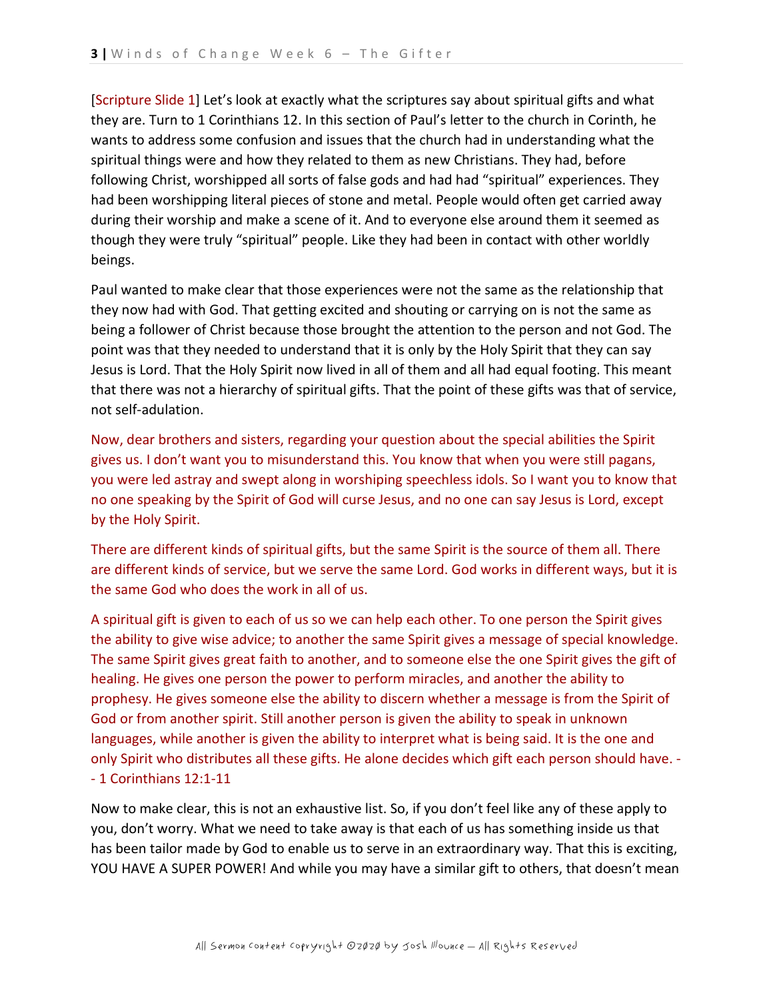[Scripture Slide 1] Let's look at exactly what the scriptures say about spiritual gifts and what they are. Turn to 1 Corinthians 12. In this section of Paul's letter to the church in Corinth, he wants to address some confusion and issues that the church had in understanding what the spiritual things were and how they related to them as new Christians. They had, before following Christ, worshipped all sorts of false gods and had had "spiritual" experiences. They had been worshipping literal pieces of stone and metal. People would often get carried away during their worship and make a scene of it. And to everyone else around them it seemed as though they were truly "spiritual" people. Like they had been in contact with other worldly beings.

Paul wanted to make clear that those experiences were not the same as the relationship that they now had with God. That getting excited and shouting or carrying on is not the same as being a follower of Christ because those brought the attention to the person and not God. The point was that they needed to understand that it is only by the Holy Spirit that they can say Jesus is Lord. That the Holy Spirit now lived in all of them and all had equal footing. This meant that there was not a hierarchy of spiritual gifts. That the point of these gifts was that of service, not self-adulation.

Now, dear brothers and sisters, regarding your question about the special abilities the Spirit gives us. I don't want you to misunderstand this. You know that when you were still pagans, you were led astray and swept along in worshiping speechless idols. So I want you to know that no one speaking by the Spirit of God will curse Jesus, and no one can say Jesus is Lord, except by the Holy Spirit.

There are different kinds of spiritual gifts, but the same Spirit is the source of them all. There are different kinds of service, but we serve the same Lord. God works in different ways, but it is the same God who does the work in all of us.

A spiritual gift is given to each of us so we can help each other. To one person the Spirit gives the ability to give wise advice; to another the same Spirit gives a message of special knowledge. The same Spirit gives great faith to another, and to someone else the one Spirit gives the gift of healing. He gives one person the power to perform miracles, and another the ability to prophesy. He gives someone else the ability to discern whether a message is from the Spirit of God or from another spirit. Still another person is given the ability to speak in unknown languages, while another is given the ability to interpret what is being said. It is the one and only Spirit who distributes all these gifts. He alone decides which gift each person should have. - - 1 Corinthians 12:1-11

Now to make clear, this is not an exhaustive list. So, if you don't feel like any of these apply to you, don't worry. What we need to take away is that each of us has something inside us that has been tailor made by God to enable us to serve in an extraordinary way. That this is exciting, YOU HAVE A SUPER POWER! And while you may have a similar gift to others, that doesn't mean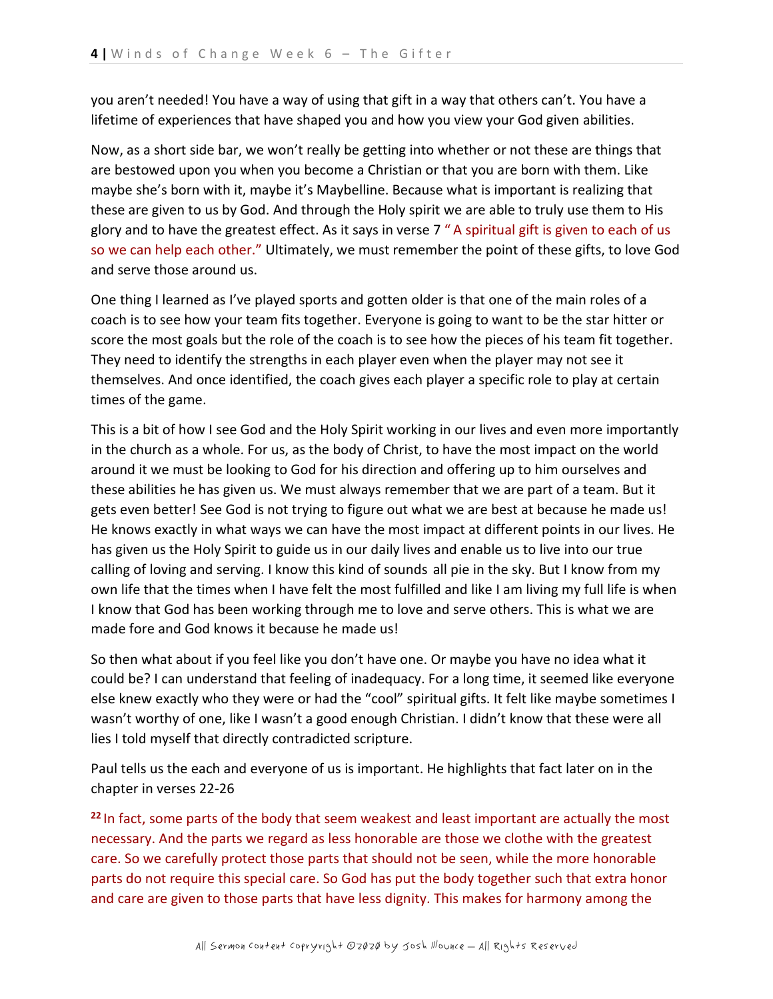you aren't needed! You have a way of using that gift in a way that others can't. You have a lifetime of experiences that have shaped you and how you view your God given abilities.

Now, as a short side bar, we won't really be getting into whether or not these are things that are bestowed upon you when you become a Christian or that you are born with them. Like maybe she's born with it, maybe it's Maybelline. Because what is important is realizing that these are given to us by God. And through the Holy spirit we are able to truly use them to His glory and to have the greatest effect. As it says in verse 7 " A spiritual gift is given to each of us so we can help each other." Ultimately, we must remember the point of these gifts, to love God and serve those around us.

One thing I learned as I've played sports and gotten older is that one of the main roles of a coach is to see how your team fits together. Everyone is going to want to be the star hitter or score the most goals but the role of the coach is to see how the pieces of his team fit together. They need to identify the strengths in each player even when the player may not see it themselves. And once identified, the coach gives each player a specific role to play at certain times of the game.

This is a bit of how I see God and the Holy Spirit working in our lives and even more importantly in the church as a whole. For us, as the body of Christ, to have the most impact on the world around it we must be looking to God for his direction and offering up to him ourselves and these abilities he has given us. We must always remember that we are part of a team. But it gets even better! See God is not trying to figure out what we are best at because he made us! He knows exactly in what ways we can have the most impact at different points in our lives. He has given us the Holy Spirit to guide us in our daily lives and enable us to live into our true calling of loving and serving. I know this kind of sounds all pie in the sky. But I know from my own life that the times when I have felt the most fulfilled and like I am living my full life is when I know that God has been working through me to love and serve others. This is what we are made fore and God knows it because he made us!

So then what about if you feel like you don't have one. Or maybe you have no idea what it could be? I can understand that feeling of inadequacy. For a long time, it seemed like everyone else knew exactly who they were or had the "cool" spiritual gifts. It felt like maybe sometimes I wasn't worthy of one, like I wasn't a good enough Christian. I didn't know that these were all lies I told myself that directly contradicted scripture.

Paul tells us the each and everyone of us is important. He highlights that fact later on in the chapter in verses 22-26

**<sup>22</sup>** In fact, some parts of the body that seem weakest and least important are actually the most necessary. And the parts we regard as less honorable are those we clothe with the greatest care. So we carefully protect those parts that should not be seen, while the more honorable parts do not require this special care. So God has put the body together such that extra honor and care are given to those parts that have less dignity. This makes for harmony among the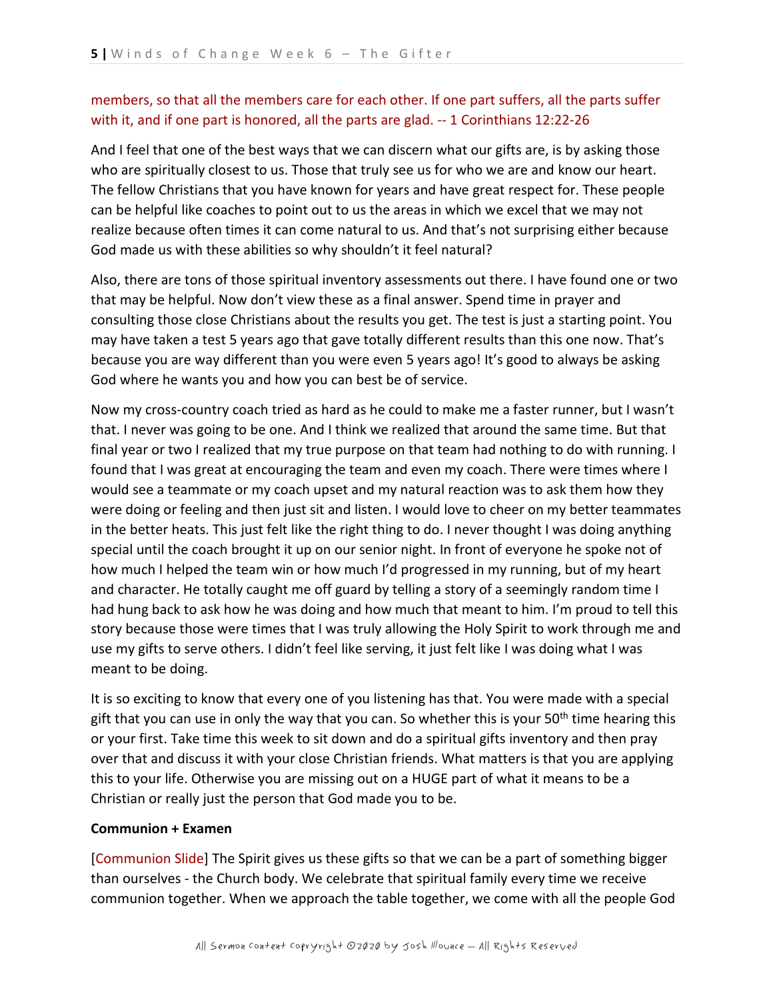# members, so that all the members care for each other. If one part suffers, all the parts suffer with it, and if one part is honored, all the parts are glad. -- 1 Corinthians 12:22-26

And I feel that one of the best ways that we can discern what our gifts are, is by asking those who are spiritually closest to us. Those that truly see us for who we are and know our heart. The fellow Christians that you have known for years and have great respect for. These people can be helpful like coaches to point out to us the areas in which we excel that we may not realize because often times it can come natural to us. And that's not surprising either because God made us with these abilities so why shouldn't it feel natural?

Also, there are tons of those spiritual inventory assessments out there. I have found one or two that may be helpful. Now don't view these as a final answer. Spend time in prayer and consulting those close Christians about the results you get. The test is just a starting point. You may have taken a test 5 years ago that gave totally different results than this one now. That's because you are way different than you were even 5 years ago! It's good to always be asking God where he wants you and how you can best be of service.

Now my cross-country coach tried as hard as he could to make me a faster runner, but I wasn't that. I never was going to be one. And I think we realized that around the same time. But that final year or two I realized that my true purpose on that team had nothing to do with running. I found that I was great at encouraging the team and even my coach. There were times where I would see a teammate or my coach upset and my natural reaction was to ask them how they were doing or feeling and then just sit and listen. I would love to cheer on my better teammates in the better heats. This just felt like the right thing to do. I never thought I was doing anything special until the coach brought it up on our senior night. In front of everyone he spoke not of how much I helped the team win or how much I'd progressed in my running, but of my heart and character. He totally caught me off guard by telling a story of a seemingly random time I had hung back to ask how he was doing and how much that meant to him. I'm proud to tell this story because those were times that I was truly allowing the Holy Spirit to work through me and use my gifts to serve others. I didn't feel like serving, it just felt like I was doing what I was meant to be doing.

It is so exciting to know that every one of you listening has that. You were made with a special gift that you can use in only the way that you can. So whether this is your 50<sup>th</sup> time hearing this or your first. Take time this week to sit down and do a spiritual gifts inventory and then pray over that and discuss it with your close Christian friends. What matters is that you are applying this to your life. Otherwise you are missing out on a HUGE part of what it means to be a Christian or really just the person that God made you to be.

## **Communion + Examen**

[Communion Slide] The Spirit gives us these gifts so that we can be a part of something bigger than ourselves - the Church body. We celebrate that spiritual family every time we receive communion together. When we approach the table together, we come with all the people God